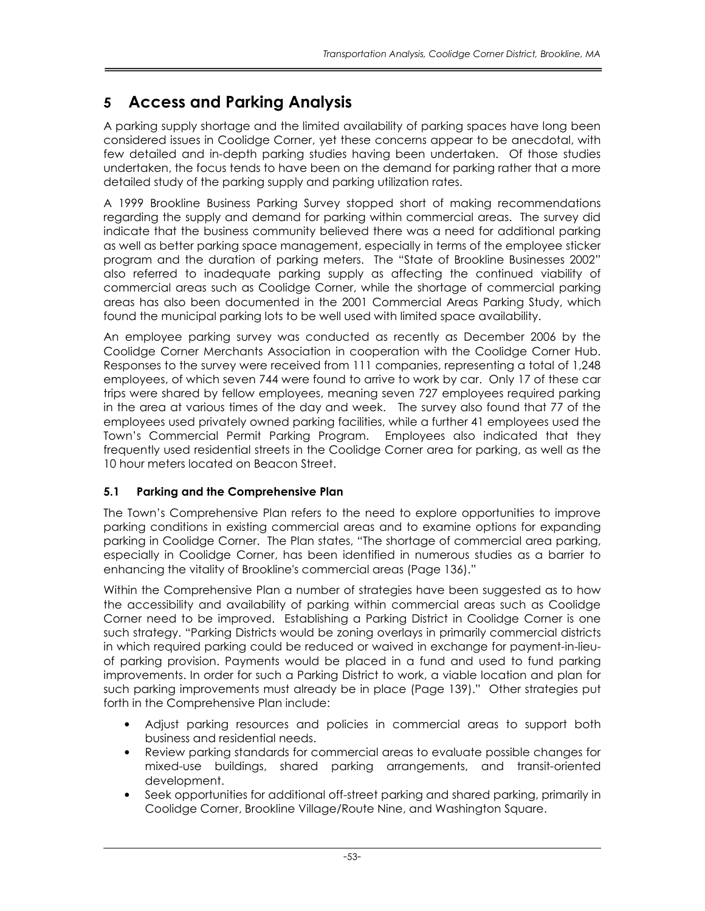# 5 Access and Parking Analysis

A parking supply shortage and the limited availability of parking spaces have long been considered issues in Coolidge Corner, yet these concerns appear to be anecdotal, with few detailed and in-depth parking studies having been undertaken. Of those studies undertaken, the focus tends to have been on the demand for parking rather that a more detailed study of the parking supply and parking utilization rates.

A 1999 Brookline Business Parking Survey stopped short of making recommendations regarding the supply and demand for parking within commercial areas. The survey did indicate that the business community believed there was a need for additional parking as well as better parking space management, especially in terms of the employee sticker program and the duration of parking meters. The "State of Brookline Businesses 2002" also referred to inadequate parking supply as affecting the continued viability of commercial areas such as Coolidge Corner, while the shortage of commercial parking areas has also been documented in the 2001 Commercial Areas Parking Study, which found the municipal parking lots to be well used with limited space availability.

An employee parking survey was conducted as recently as December 2006 by the Coolidge Corner Merchants Association in cooperation with the Coolidge Corner Hub. Responses to the survey were received from 111 companies, representing a total of 1,248 employees, of which seven 744 were found to arrive to work by car. Only 17 of these car trips were shared by fellow employees, meaning seven 727 employees required parking in the area at various times of the day and week. The survey also found that 77 of the employees used privately owned parking facilities, while a further 41 employees used the Town's Commercial Permit Parking Program. Employees also indicated that they frequently used residential streets in the Coolidge Corner area for parking, as well as the 10 hour meters located on Beacon Street.

# 5.1 Parking and the Comprehensive Plan

The Town's Comprehensive Plan refers to the need to explore opportunities to improve parking conditions in existing commercial areas and to examine options for expanding parking in Coolidge Corner. The Plan states, "The shortage of commercial area parking, especially in Coolidge Corner, has been identified in numerous studies as a barrier to enhancing the vitality of Brookline's commercial areas (Page 136)."

Within the Comprehensive Plan a number of strategies have been suggested as to how the accessibility and availability of parking within commercial areas such as Coolidge Corner need to be improved. Establishing a Parking District in Coolidge Corner is one such strategy. "Parking Districts would be zoning overlays in primarily commercial districts in which required parking could be reduced or waived in exchange for payment-in-lieuof parking provision. Payments would be placed in a fund and used to fund parking improvements. In order for such a Parking District to work, a viable location and plan for such parking improvements must already be in place (Page 139)." Other strategies put forth in the Comprehensive Plan include:

- Adjust parking resources and policies in commercial areas to support both business and residential needs.
- Review parking standards for commercial areas to evaluate possible changes for mixed-use buildings, shared parking arrangements, and transit-oriented development.
- Seek opportunities for additional off-street parking and shared parking, primarily in Coolidge Corner, Brookline Village/Route Nine, and Washington Square.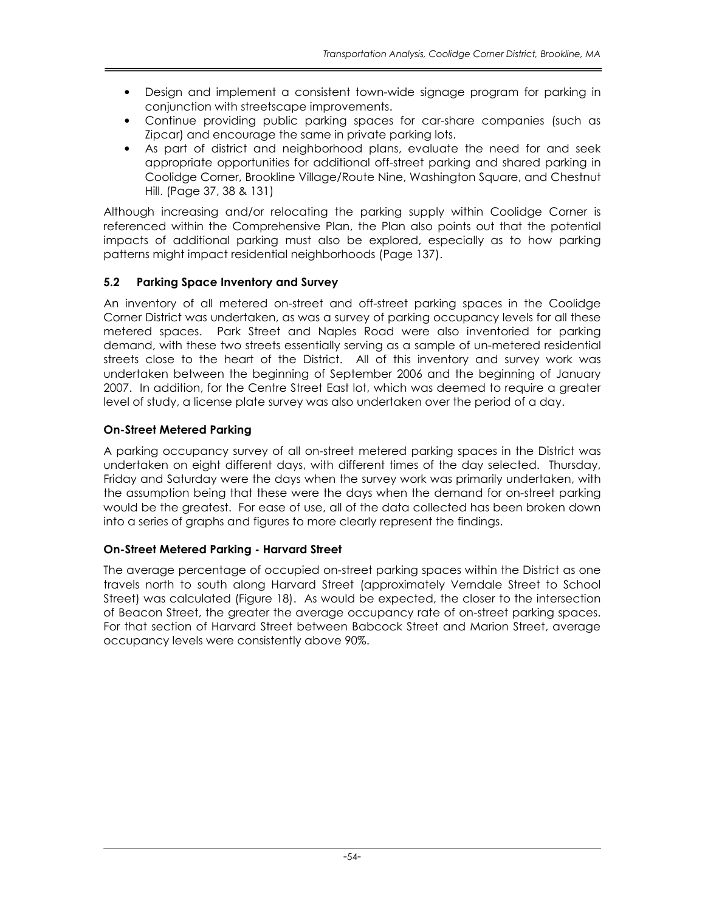- Design and implement a consistent town-wide signage program for parking in conjunction with streetscape improvements.
- Continue providing public parking spaces for car-share companies (such as Zipcar) and encourage the same in private parking lots.
- As part of district and neighborhood plans, evaluate the need for and seek appropriate opportunities for additional off-street parking and shared parking in Coolidge Corner, Brookline Village/Route Nine, Washington Square, and Chestnut Hill. (Page 37, 38 & 131)

Although increasing and/or relocating the parking supply within Coolidge Corner is referenced within the Comprehensive Plan, the Plan also points out that the potential impacts of additional parking must also be explored, especially as to how parking patterns might impact residential neighborhoods (Page 137).

### 5.2 Parking Space Inventory and Survey

An inventory of all metered on-street and off-street parking spaces in the Coolidge Corner District was undertaken, as was a survey of parking occupancy levels for all these metered spaces. Park Street and Naples Road were also inventoried for parking demand, with these two streets essentially serving as a sample of un-metered residential streets close to the heart of the District. All of this inventory and survey work was undertaken between the beginning of September 2006 and the beginning of January 2007. In addition, for the Centre Street East lot, which was deemed to require a greater level of study, a license plate survey was also undertaken over the period of a day.

### On-Street Metered Parking

A parking occupancy survey of all on-street metered parking spaces in the District was undertaken on eight different days, with different times of the day selected. Thursday, Friday and Saturday were the days when the survey work was primarily undertaken, with the assumption being that these were the days when the demand for on-street parking would be the greatest. For ease of use, all of the data collected has been broken down into a series of graphs and figures to more clearly represent the findings.

#### On-Street Metered Parking - Harvard Street

The average percentage of occupied on-street parking spaces within the District as one travels north to south along Harvard Street (approximately Verndale Street to School Street) was calculated (Figure 18). As would be expected, the closer to the intersection of Beacon Street, the greater the average occupancy rate of on-street parking spaces. For that section of Harvard Street between Babcock Street and Marion Street, average occupancy levels were consistently above 90%.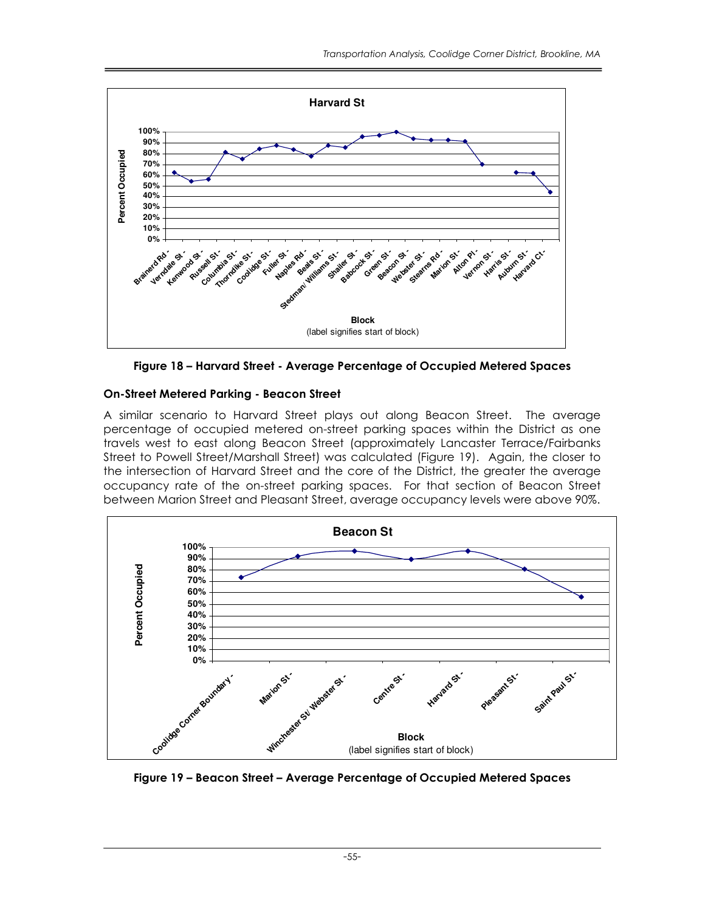



#### On-Street Metered Parking - Beacon Street

A similar scenario to Harvard Street plays out along Beacon Street. The average percentage of occupied metered on-street parking spaces within the District as one travels west to east along Beacon Street (approximately Lancaster Terrace/Fairbanks Street to Powell Street/Marshall Street) was calculated (Figure 19). Again, the closer to the intersection of Harvard Street and the core of the District, the greater the average occupancy rate of the on-street parking spaces. For that section of Beacon Street between Marion Street and Pleasant Street, average occupancy levels were above 90%.



Figure 19 – Beacon Street – Average Percentage of Occupied Metered Spaces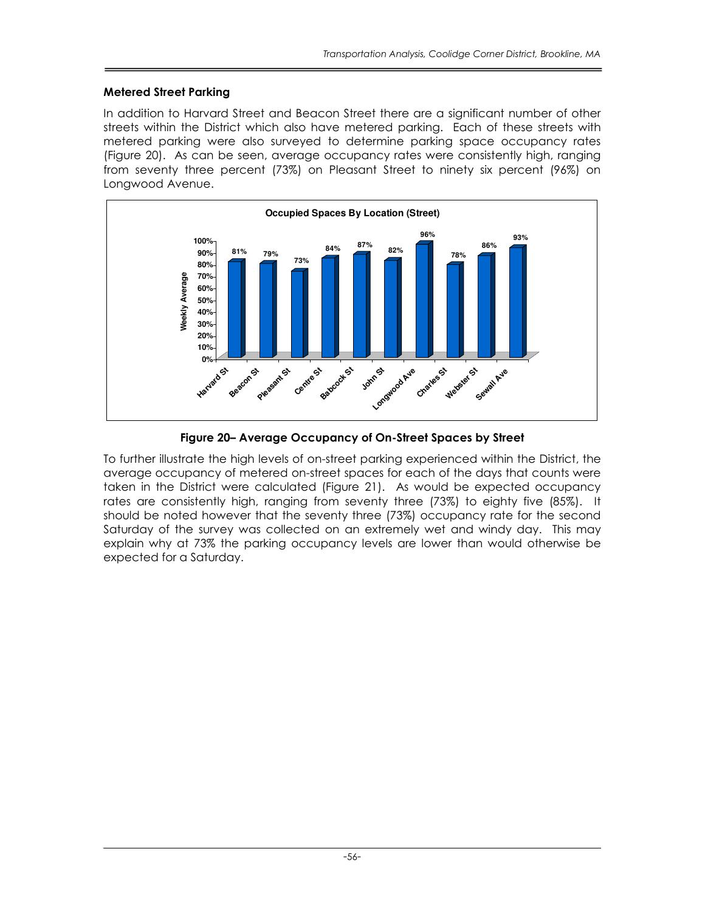#### Metered Street Parking

In addition to Harvard Street and Beacon Street there are a significant number of other streets within the District which also have metered parking. Each of these streets with metered parking were also surveyed to determine parking space occupancy rates (Figure 20). As can be seen, average occupancy rates were consistently high, ranging from seventy three percent (73%) on Pleasant Street to ninety six percent (96%) on Longwood Avenue.



Figure 20– Average Occupancy of On-Street Spaces by Street

To further illustrate the high levels of on-street parking experienced within the District, the average occupancy of metered on-street spaces for each of the days that counts were taken in the District were calculated (Figure 21). As would be expected occupancy rates are consistently high, ranging from seventy three (73%) to eighty five (85%). It should be noted however that the seventy three (73%) occupancy rate for the second Saturday of the survey was collected on an extremely wet and windy day. This may explain why at 73% the parking occupancy levels are lower than would otherwise be expected for a Saturday.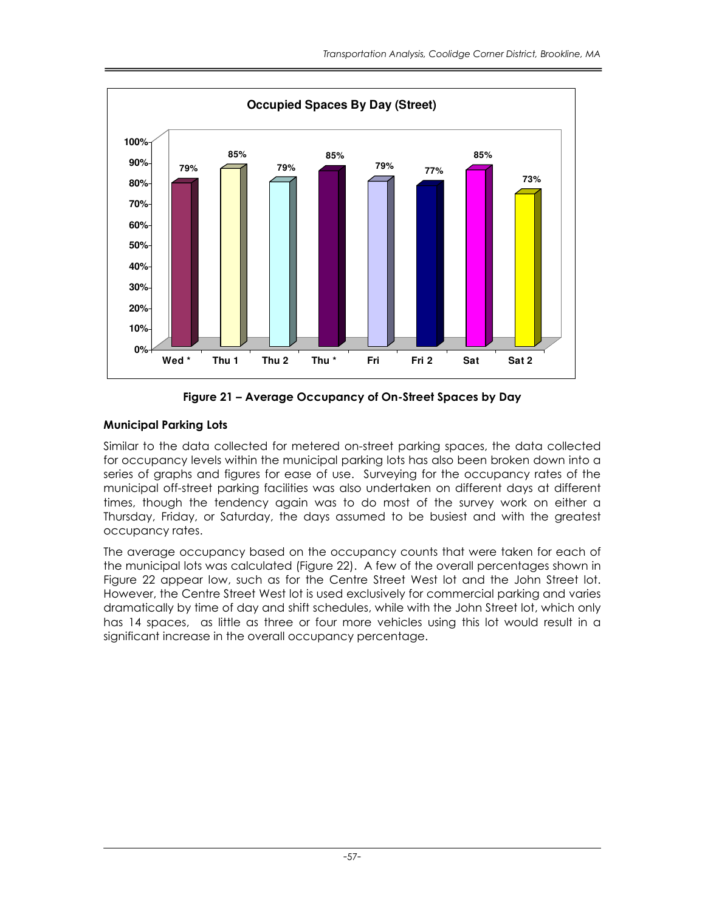

Figure 21 – Average Occupancy of On-Street Spaces by Day

# Municipal Parking Lots

Similar to the data collected for metered on-street parking spaces, the data collected for occupancy levels within the municipal parking lots has also been broken down into a series of graphs and figures for ease of use. Surveying for the occupancy rates of the municipal off-street parking facilities was also undertaken on different days at different times, though the tendency again was to do most of the survey work on either a Thursday, Friday, or Saturday, the days assumed to be busiest and with the greatest occupancy rates.

The average occupancy based on the occupancy counts that were taken for each of the municipal lots was calculated (Figure 22). A few of the overall percentages shown in Figure 22 appear low, such as for the Centre Street West lot and the John Street lot. However, the Centre Street West lot is used exclusively for commercial parking and varies dramatically by time of day and shift schedules, while with the John Street lot, which only has 14 spaces, as little as three or four more vehicles using this lot would result in a significant increase in the overall occupancy percentage.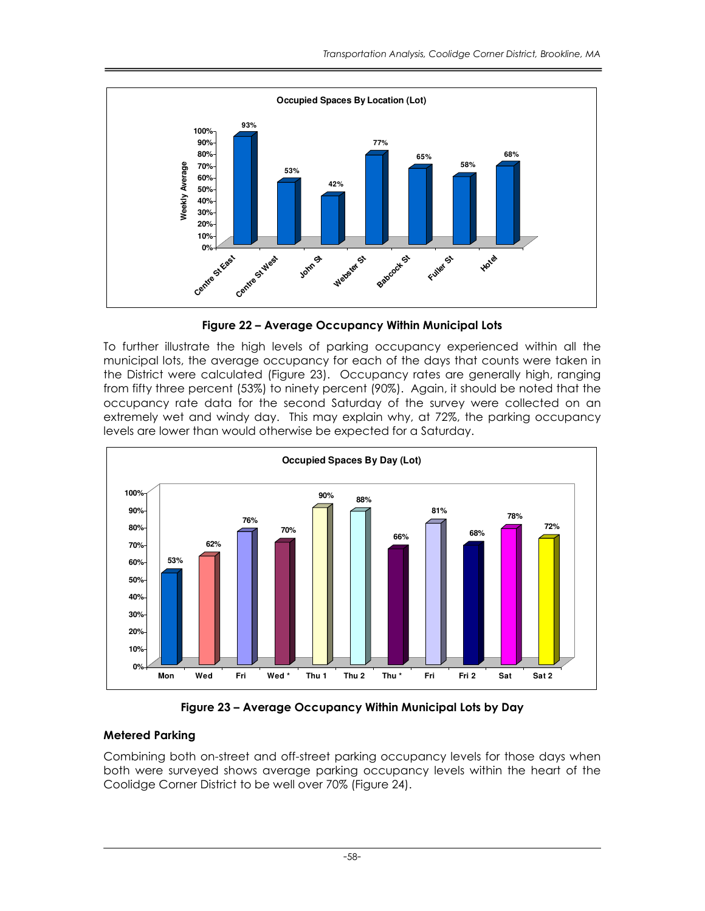

Figure 22 – Average Occupancy Within Municipal Lots

To further illustrate the high levels of parking occupancy experienced within all the municipal lots, the average occupancy for each of the days that counts were taken in the District were calculated (Figure 23). Occupancy rates are generally high, ranging from fifty three percent (53%) to ninety percent (90%). Again, it should be noted that the occupancy rate data for the second Saturday of the survey were collected on an extremely wet and windy day. This may explain why, at 72%, the parking occupancy levels are lower than would otherwise be expected for a Saturday.



Figure 23 – Average Occupancy Within Municipal Lots by Day

# Metered Parking

Combining both on-street and off-street parking occupancy levels for those days when both were surveyed shows average parking occupancy levels within the heart of the Coolidge Corner District to be well over 70% (Figure 24).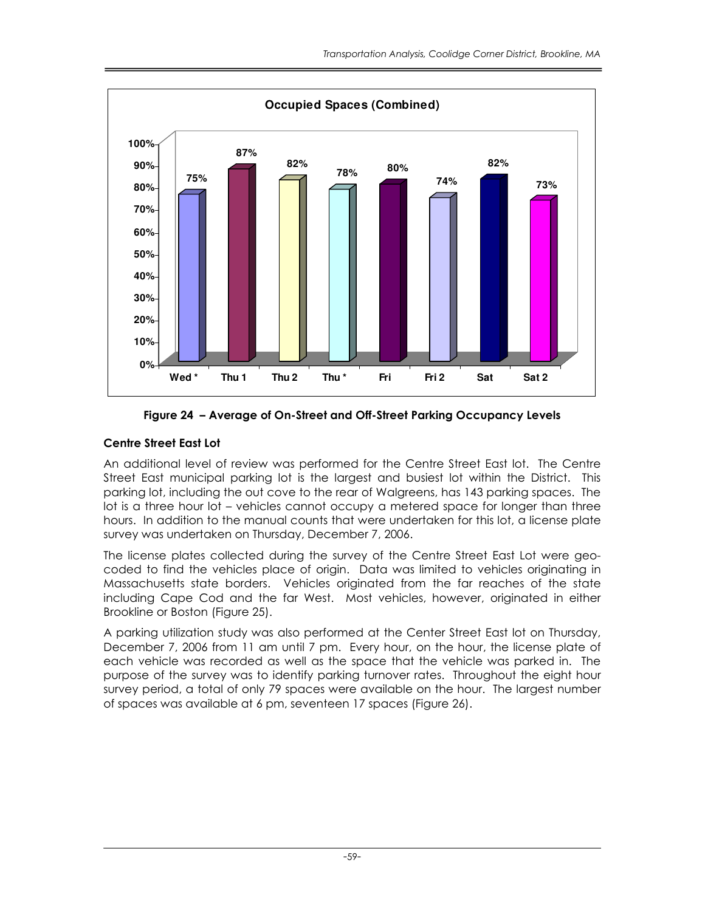

Figure 24 – Average of On-Street and Off-Street Parking Occupancy Levels

# Centre Street East Lot

An additional level of review was performed for the Centre Street East lot. The Centre Street East municipal parking lot is the largest and busiest lot within the District. This parking lot, including the out cove to the rear of Walgreens, has 143 parking spaces. The lot is a three hour lot – vehicles cannot occupy a metered space for longer than three hours. In addition to the manual counts that were undertaken for this lot, a license plate survey was undertaken on Thursday, December 7, 2006.

The license plates collected during the survey of the Centre Street East Lot were geocoded to find the vehicles place of origin. Data was limited to vehicles originating in Massachusetts state borders. Vehicles originated from the far reaches of the state including Cape Cod and the far West. Most vehicles, however, originated in either Brookline or Boston (Figure 25).

A parking utilization study was also performed at the Center Street East lot on Thursday, December 7, 2006 from 11 am until 7 pm. Every hour, on the hour, the license plate of each vehicle was recorded as well as the space that the vehicle was parked in. The purpose of the survey was to identify parking turnover rates. Throughout the eight hour survey period, a total of only 79 spaces were available on the hour. The largest number of spaces was available at 6 pm, seventeen 17 spaces (Figure 26).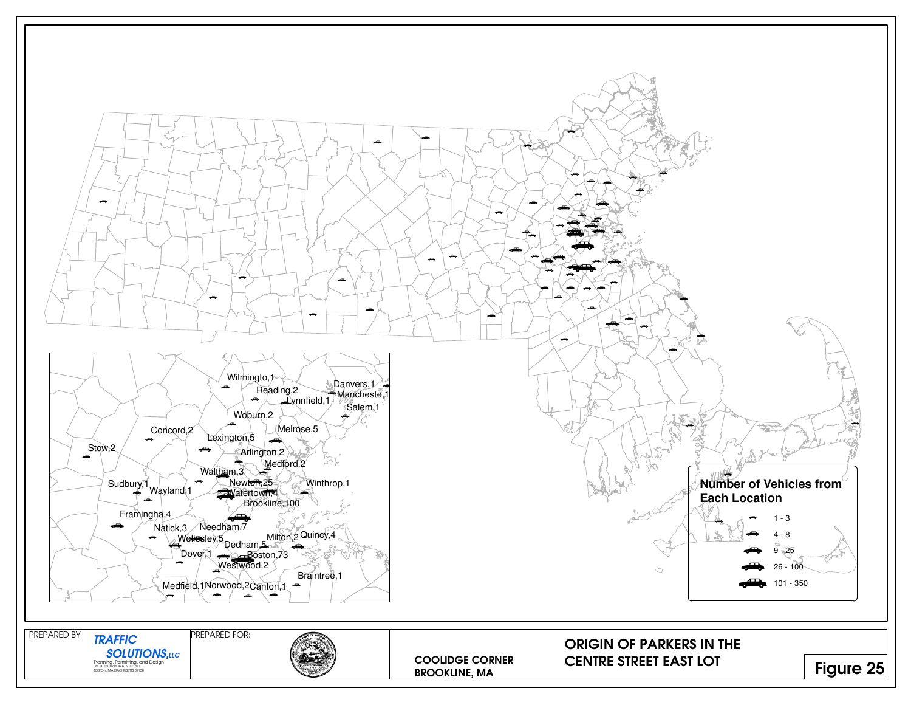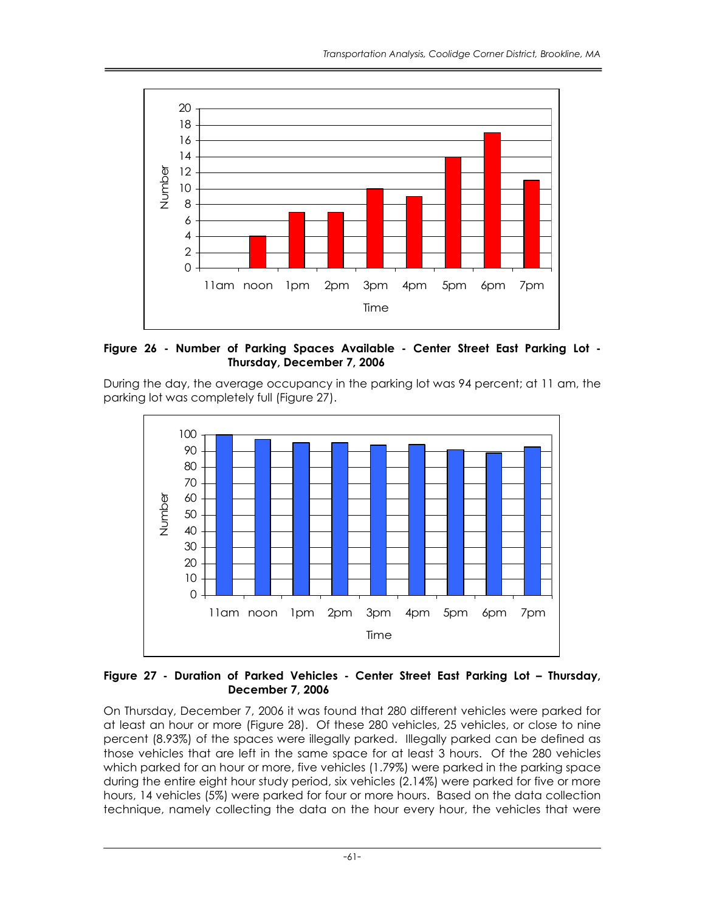

Figure 26 - Number of Parking Spaces Available - Center Street East Parking Lot - Thursday, December 7, 2006

During the day, the average occupancy in the parking lot was 94 percent; at 11 am, the parking lot was completely full (Figure 27).



Figure 27 - Duration of Parked Vehicles - Center Street East Parking Lot – Thursday, December 7, 2006

On Thursday, December 7, 2006 it was found that 280 different vehicles were parked for at least an hour or more (Figure 28). Of these 280 vehicles, 25 vehicles, or close to nine percent (8.93%) of the spaces were illegally parked. Illegally parked can be defined as those vehicles that are left in the same space for at least 3 hours. Of the 280 vehicles which parked for an hour or more, five vehicles (1.79%) were parked in the parking space during the entire eight hour study period, six vehicles (2.14%) were parked for five or more hours, 14 vehicles (5%) were parked for four or more hours. Based on the data collection technique, namely collecting the data on the hour every hour, the vehicles that were